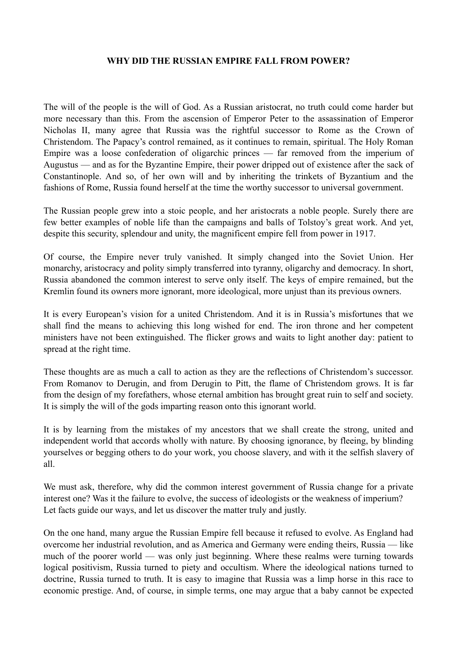## **WHY DID THE RUSSIAN EMPIRE FALL FROM POWER?**

The will of the people is the will of God. As a Russian aristocrat, no truth could come harder but more necessary than this. From the ascension of Emperor Peter to the assassination of Emperor Nicholas II, many agree that Russia was the rightful successor to Rome as the Crown of Christendom. The Papacy's control remained, as it continues to remain, spiritual. The Holy Roman Empire was a loose confederation of oligarchic princes — far removed from the imperium of Augustus — and as for the Byzantine Empire, their power dripped out of existence after the sack of Constantinople. And so, of her own will and by inheriting the trinkets of Byzantium and the fashions of Rome, Russia found herself at the time the worthy successor to universal government.

The Russian people grew into a stoic people, and her aristocrats a noble people. Surely there are few better examples of noble life than the campaigns and balls of Tolstoy's great work. And yet, despite this security, splendour and unity, the magnificent empire fell from power in 1917.

Of course, the Empire never truly vanished. It simply changed into the Soviet Union. Her monarchy, aristocracy and polity simply transferred into tyranny, oligarchy and democracy. In short, Russia abandoned the common interest to serve only itself. The keys of empire remained, but the Kremlin found its owners more ignorant, more ideological, more unjust than its previous owners.

It is every European's vision for a united Christendom. And it is in Russia's misfortunes that we shall find the means to achieving this long wished for end. The iron throne and her competent ministers have not been extinguished. The flicker grows and waits to light another day: patient to spread at the right time.

These thoughts are as much a call to action as they are the reflections of Christendom's successor. From Romanov to Derugin, and from Derugin to Pitt, the flame of Christendom grows. It is far from the design of my forefathers, whose eternal ambition has brought great ruin to self and society. It is simply the will of the gods imparting reason onto this ignorant world.

It is by learning from the mistakes of my ancestors that we shall create the strong, united and independent world that accords wholly with nature. By choosing ignorance, by fleeing, by blinding yourselves or begging others to do your work, you choose slavery, and with it the selfish slavery of all.

We must ask, therefore, why did the common interest government of Russia change for a private interest one? Was it the failure to evolve, the success of ideologists or the weakness of imperium? Let facts guide our ways, and let us discover the matter truly and justly.

On the one hand, many argue the Russian Empire fell because it refused to evolve. As England had overcome her industrial revolution, and as America and Germany were ending theirs, Russia — like much of the poorer world — was only just beginning. Where these realms were turning towards logical positivism, Russia turned to piety and occultism. Where the ideological nations turned to doctrine, Russia turned to truth. It is easy to imagine that Russia was a limp horse in this race to economic prestige. And, of course, in simple terms, one may argue that a baby cannot be expected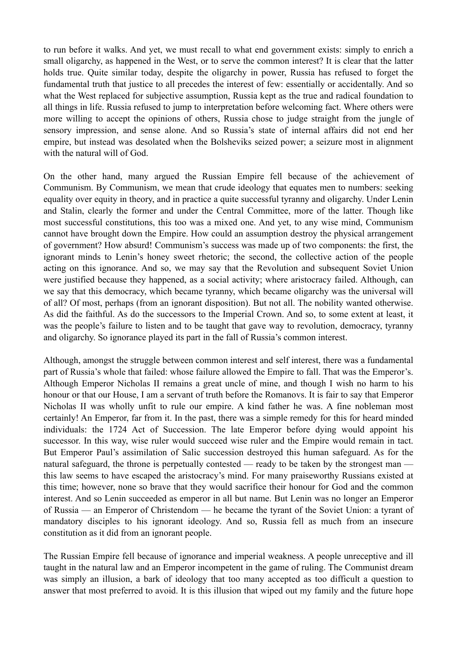to run before it walks. And yet, we must recall to what end government exists: simply to enrich a small oligarchy, as happened in the West, or to serve the common interest? It is clear that the latter holds true. Quite similar today, despite the oligarchy in power, Russia has refused to forget the fundamental truth that justice to all precedes the interest of few: essentially or accidentally. And so what the West replaced for subjective assumption, Russia kept as the true and radical foundation to all things in life. Russia refused to jump to interpretation before welcoming fact. Where others were more willing to accept the opinions of others, Russia chose to judge straight from the jungle of sensory impression, and sense alone. And so Russia's state of internal affairs did not end her empire, but instead was desolated when the Bolsheviks seized power; a seizure most in alignment with the natural will of God.

On the other hand, many argued the Russian Empire fell because of the achievement of Communism. By Communism, we mean that crude ideology that equates men to numbers: seeking equality over equity in theory, and in practice a quite successful tyranny and oligarchy. Under Lenin and Stalin, clearly the former and under the Central Committee, more of the latter. Though like most successful constitutions, this too was a mixed one. And yet, to any wise mind, Communism cannot have brought down the Empire. How could an assumption destroy the physical arrangement of government? How absurd! Communism's success was made up of two components: the first, the ignorant minds to Lenin's honey sweet rhetoric; the second, the collective action of the people acting on this ignorance. And so, we may say that the Revolution and subsequent Soviet Union were justified because they happened, as a social activity; where aristocracy failed. Although, can we say that this democracy, which became tyranny, which became oligarchy was the universal will of all? Of most, perhaps (from an ignorant disposition). But not all. The nobility wanted otherwise. As did the faithful. As do the successors to the Imperial Crown. And so, to some extent at least, it was the people's failure to listen and to be taught that gave way to revolution, democracy, tyranny and oligarchy. So ignorance played its part in the fall of Russia's common interest.

Although, amongst the struggle between common interest and self interest, there was a fundamental part of Russia's whole that failed: whose failure allowed the Empire to fall. That was the Emperor's. Although Emperor Nicholas II remains a great uncle of mine, and though I wish no harm to his honour or that our House, I am a servant of truth before the Romanovs. It is fair to say that Emperor Nicholas II was wholly unfit to rule our empire. A kind father he was. A fine nobleman most certainly! An Emperor, far from it. In the past, there was a simple remedy for this for heard minded individuals: the 1724 Act of Succession. The late Emperor before dying would appoint his successor. In this way, wise ruler would succeed wise ruler and the Empire would remain in tact. But Emperor Paul's assimilation of Salic succession destroyed this human safeguard. As for the natural safeguard, the throne is perpetually contested — ready to be taken by the strongest man this law seems to have escaped the aristocracy's mind. For many praiseworthy Russians existed at this time; however, none so brave that they would sacrifice their honour for God and the common interest. And so Lenin succeeded as emperor in all but name. But Lenin was no longer an Emperor of Russia — an Emperor of Christendom — he became the tyrant of the Soviet Union: a tyrant of mandatory disciples to his ignorant ideology. And so, Russia fell as much from an insecure constitution as it did from an ignorant people.

The Russian Empire fell because of ignorance and imperial weakness. A people unreceptive and ill taught in the natural law and an Emperor incompetent in the game of ruling. The Communist dream was simply an illusion, a bark of ideology that too many accepted as too difficult a question to answer that most preferred to avoid. It is this illusion that wiped out my family and the future hope